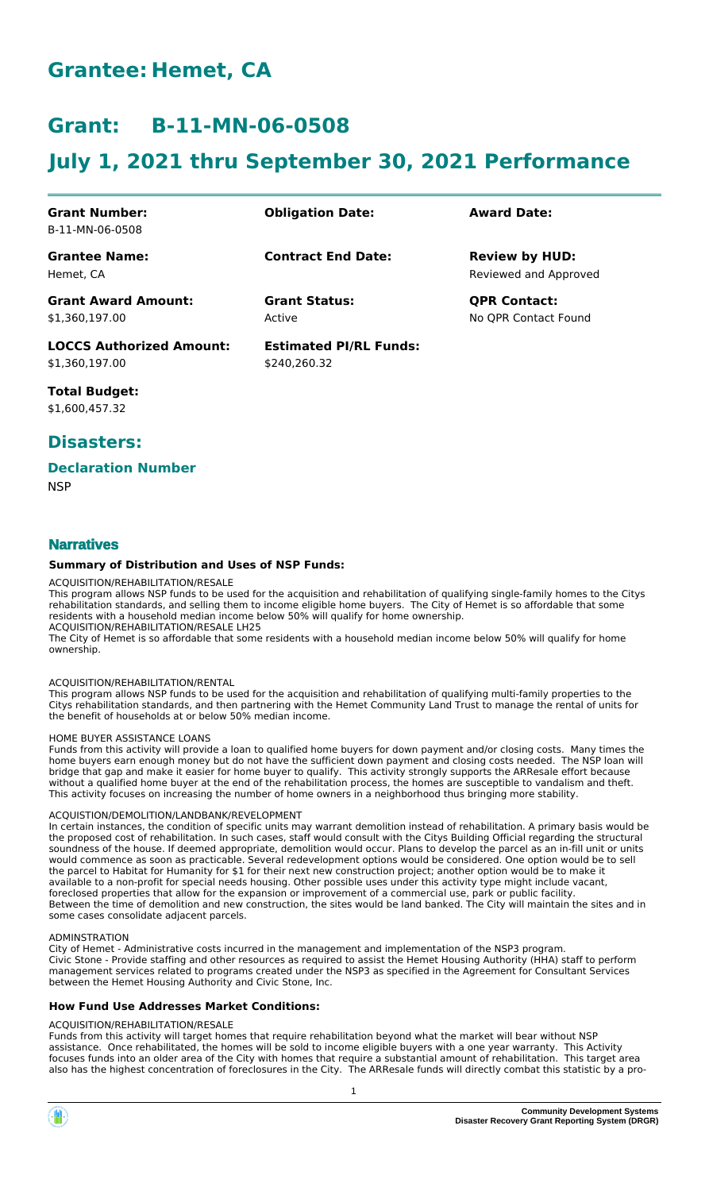# **Grantee: Hemet, CA**

# **Grant: B-11-MN-06-0508**

# **July 1, 2021 thru September 30, 2021 Performance**

| <b>Grant Number:</b>            | <b>Obligation Date:</b>       | <b>Award Date:</b>    |
|---------------------------------|-------------------------------|-----------------------|
| B-11-MN-06-0508                 |                               |                       |
| <b>Grantee Name:</b>            | <b>Contract End Date:</b>     | <b>Review by HUD:</b> |
| Hemet. CA                       |                               | Reviewed and Approved |
| <b>Grant Award Amount:</b>      | <b>Grant Status:</b>          | <b>QPR Contact:</b>   |
| \$1,360,197.00                  | Active                        | No OPR Contact Found  |
| <b>LOCCS Authorized Amount:</b> | <b>Estimated PI/RL Funds:</b> |                       |
| \$1,360,197.00                  | \$240.260.32                  |                       |

**Total Budget:** \$1,600,457.32

# **Disasters:**

## **Declaration Number**

**NSP** 

# **Narratives**

## **Summary of Distribution and Uses of NSP Funds:**

### ACQUISITION/REHABILITATION/RESALE

This program allows NSP funds to be used for the acquisition and rehabilitation of qualifying single-family homes to the Citys rehabilitation standards, and selling them to income eligible home buyers. The City of Hemet is so affordable that some residents with a household median income below 50% will qualify for home ownership. ACQUISITION/REHABILITATION/RESALE LH25

The City of Hemet is so affordable that some residents with a household median income below 50% will qualify for home ownership.

#### ACQUISITION/REHABILITATION/RENTAL

This program allows NSP funds to be used for the acquisition and rehabilitation of qualifying multi-family properties to the Citys rehabilitation standards, and then partnering with the Hemet Community Land Trust to manage the rental of units for the benefit of households at or below 50% median income.

#### HOME BUYER ASSISTANCE LOANS

Funds from this activity will provide a loan to qualified home buyers for down payment and/or closing costs. Many times the home buyers earn enough money but do not have the sufficient down payment and closing costs needed. The NSP loan will bridge that gap and make it easier for home buyer to qualify. This activity strongly supports the ARResale effort because without a qualified home buyer at the end of the rehabilitation process, the homes are susceptible to vandalism and theft. This activity focuses on increasing the number of home owners in a neighborhood thus bringing more stability.

#### ACQUISTION/DEMOLITION/LANDBANK/REVELOPMENT

In certain instances, the condition of specific units may warrant demolition instead of rehabilitation. A primary basis would be the proposed cost of rehabilitation. In such cases, staff would consult with the Citys Building Official regarding the structural soundness of the house. If deemed appropriate, demolition would occur. Plans to develop the parcel as an in-fill unit or units would commence as soon as practicable. Several redevelopment options would be considered. One option would be to sell the parcel to Habitat for Humanity for \$1 for their next new construction project; another option would be to make it available to a non-profit for special needs housing. Other possible uses under this activity type might include vacant, foreclosed properties that allow for the expansion or improvement of a commercial use, park or public facility. Between the time of demolition and new construction, the sites would be land banked. The City will maintain the sites and in some cases consolidate adjacent parcels.

#### ADMINSTRATION

City of Hemet - Administrative costs incurred in the management and implementation of the NSP3 program. Civic Stone - Provide staffing and other resources as required to assist the Hemet Housing Authority (HHA) staff to perform management services related to programs created under the NSP3 as specified in the Agreement for Consultant Services between the Hemet Housing Authority and Civic Stone, Inc.

#### **How Fund Use Addresses Market Conditions:**

#### ACQUISITION/REHABILITATION/RESALE

Funds from this activity will target homes that require rehabilitation beyond what the market will bear without NSP assistance. Once rehabilitated, the homes will be sold to income eligible buyers with a one year warranty. This Activity focuses funds into an older area of the City with homes that require a substantial amount of rehabilitation. This target area also has the highest concentration of foreclosures in the City. The ARResale funds will directly combat this statistic by a pro-



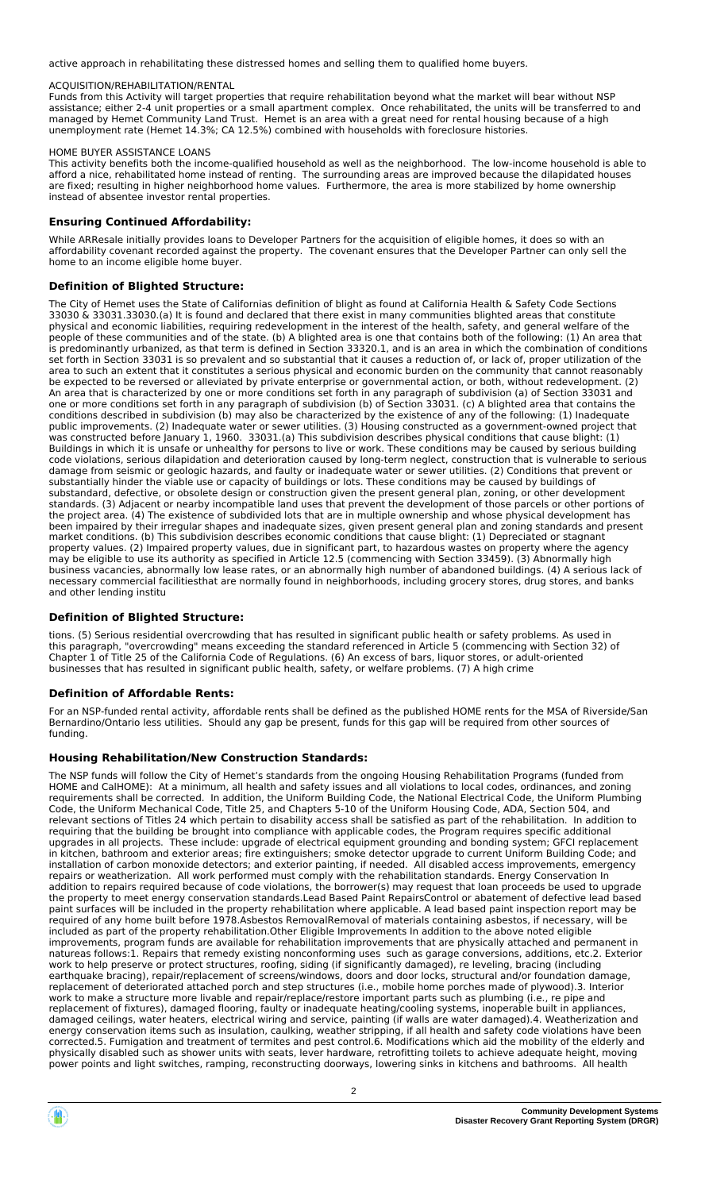active approach in rehabilitating these distressed homes and selling them to qualified home buyers.

#### ACQUISITION/REHABILITATION/RENTAL

Funds from this Activity will target properties that require rehabilitation beyond what the market will bear without NSP assistance; either 2-4 unit properties or a small apartment complex. Once rehabilitated, the units will be transferred to and managed by Hemet Community Land Trust. Hemet is an area with a great need for rental housing because of a high unemployment rate (Hemet 14.3%; CA 12.5%) combined with households with foreclosure histories.

#### HOME BUYER ASSISTANCE LOANS

This activity benefits both the income-qualified household as well as the neighborhood. The low-income household is able to afford a nice, rehabilitated home instead of renting. The surrounding areas are improved because the dilapidated houses are fixed; resulting in higher neighborhood home values. Furthermore, the area is more stabilized by home ownership instead of absentee investor rental properties.

#### **Ensuring Continued Affordability:**

While ARResale initially provides loans to Developer Partners for the acquisition of eligible homes, it does so with an affordability covenant recorded against the property. The covenant ensures that the Developer Partner can only sell the home to an income eligible home buyer.

#### **Definition of Blighted Structure:**

The City of Hemet uses the State of Californias definition of blight as found at California Health & Safety Code Sections 33030 & 33031.33030.(a) It is found and declared that there exist in many communities blighted areas that constitute physical and economic liabilities, requiring redevelopment in the interest of the health, safety, and general welfare of the people of these communities and of the state. (b) A blighted area is one that contains both of the following: (1) An area that is predominantly urbanized, as that term is defined in Section 33320.1, and is an area in which the combination of conditions set forth in Section 33031 is so prevalent and so substantial that it causes a reduction of, or lack of, proper utilization of the area to such an extent that it constitutes a serious physical and economic burden on the community that cannot reasonably be expected to be reversed or alleviated by private enterprise or governmental action, or both, without redevelopment. (2) An area that is characterized by one or more conditions set forth in any paragraph of subdivision (a) of Section 33031 and one or more conditions set forth in any paragraph of subdivision (b) of Section 33031. (c) A blighted area that contains the conditions described in subdivision (b) may also be characterized by the existence of any of the following: (1) Inadequate public improvements. (2) Inadequate water or sewer utilities. (3) Housing constructed as a government-owned project that was constructed before January 1, 1960. 33031.(a) This subdivision describes physical conditions that cause blight: (1) Buildings in which it is unsafe or unhealthy for persons to live or work. These conditions may be caused by serious building code violations, serious dilapidation and deterioration caused by long-term neglect, construction that is vulnerable to serious damage from seismic or geologic hazards, and faulty or inadequate water or sewer utilities. (2) Conditions that prevent or substantially hinder the viable use or capacity of buildings or lots. These conditions may be caused by buildings of substandard, defective, or obsolete design or construction given the present general plan, zoning, or other development standards. (3) Adjacent or nearby incompatible land uses that prevent the development of those parcels or other portions of the project area. (4) The existence of subdivided lots that are in multiple ownership and whose physical development has been impaired by their irregular shapes and inadequate sizes, given present general plan and zoning standards and present market conditions. (b) This subdivision describes economic conditions that cause blight: (1) Depreciated or stagnant property values. (2) Impaired property values, due in significant part, to hazardous wastes on property where the agency may be eligible to use its authority as specified in Article 12.5 (commencing with Section 33459). (3) Abnormally high business vacancies, abnormally low lease rates, or an abnormally high number of abandoned buildings. (4) A serious lack of necessary commercial facilitiesthat are normally found in neighborhoods, including grocery stores, drug stores, and banks and other lending institu

### **Definition of Blighted Structure:**

tions. (5) Serious residential overcrowding that has resulted in significant public health or safety problems. As used in this paragraph, "overcrowding" means exceeding the standard referenced in Article 5 (commencing with Section 32) of Chapter 1 of Title 25 of the California Code of Regulations. (6) An excess of bars, liquor stores, or adult-oriented businesses that has resulted in significant public health, safety, or welfare problems. (7) A high crime

#### **Definition of Affordable Rents:**

For an NSP-funded rental activity, affordable rents shall be defined as the published HOME rents for the MSA of Riverside/San Bernardino/Ontario less utilities. Should any gap be present, funds for this gap will be required from other sources of funding.

#### **Housing Rehabilitation/New Construction Standards:**

The NSP funds will follow the City of Hemet's standards from the ongoing Housing Rehabilitation Programs (funded from HOME and CalHOME): At a minimum, all health and safety issues and all violations to local codes, ordinances, and zoning requirements shall be corrected. In addition, the Uniform Building Code, the National Electrical Code, the Uniform Plumbing Code, the Uniform Mechanical Code, Title 25, and Chapters 5-10 of the Uniform Housing Code, ADA, Section 504, and relevant sections of Titles 24 which pertain to disability access shall be satisfied as part of the rehabilitation. In addition to requiring that the building be brought into compliance with applicable codes, the Program requires specific additional upgrades in all projects. These include: upgrade of electrical equipment grounding and bonding system; GFCI replacement in kitchen, bathroom and exterior areas; fire extinguishers; smoke detector upgrade to current Uniform Building Code; and installation of carbon monoxide detectors; and exterior painting, if needed. All disabled access improvements, emergency repairs or weatherization. All work performed must comply with the rehabilitation standards. Energy Conservation In addition to repairs required because of code violations, the borrower(s) may request that loan proceeds be used to upgrade the property to meet energy conservation standards.Lead Based Paint RepairsControl or abatement of defective lead based paint surfaces will be included in the property rehabilitation where applicable. A lead based paint inspection report may be required of any home built before 1978.Asbestos RemovalRemoval of materials containing asbestos, if necessary, will be included as part of the property rehabilitation.Other Eligible Improvements In addition to the above noted eligible improvements, program funds are available for rehabilitation improvements that are physically attached and permanent in natureas follows:1. Repairs that remedy existing nonconforming uses such as garage conversions, additions, etc.2. Exterior work to help preserve or protect structures, roofing, siding (if significantly damaged), re leveling, bracing (including earthquake bracing), repair/replacement of screens/windows, doors and door locks, structural and/or foundation damage, replacement of deteriorated attached porch and step structures (i.e., mobile home porches made of plywood).3. Interior work to make a structure more livable and repair/replace/restore important parts such as plumbing (i.e., re pipe and replacement of fixtures), damaged flooring, faulty or inadequate heating/cooling systems, inoperable built in appliances, damaged ceilings, water heaters, electrical wiring and service, painting (if walls are water damaged).4. Weatherization and energy conservation items such as insulation, caulking, weather stripping, if all health and safety code violations have been corrected.5. Fumigation and treatment of termites and pest control.6. Modifications which aid the mobility of the elderly and physically disabled such as shower units with seats, lever hardware, retrofitting toilets to achieve adequate height, moving power points and light switches, ramping, reconstructing doorways, lowering sinks in kitchens and bathrooms. All health

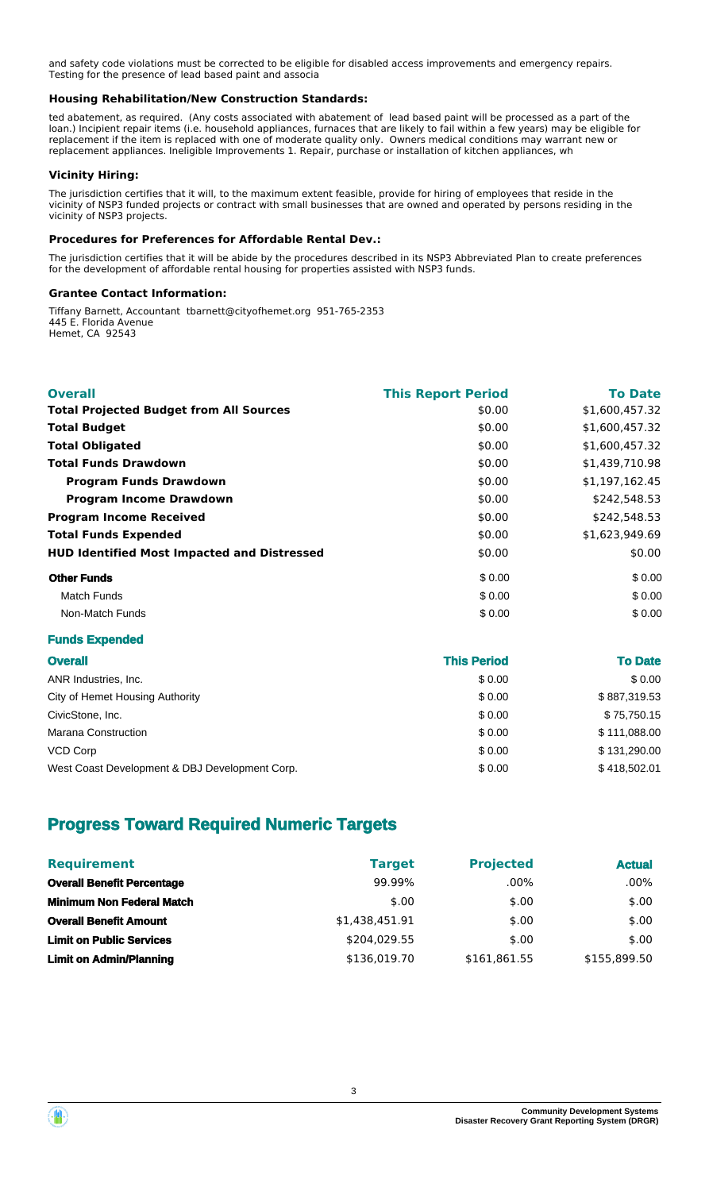and safety code violations must be corrected to be eligible for disabled access improvements and emergency repairs. Testing for the presence of lead based paint and associa

### **Housing Rehabilitation/New Construction Standards:**

ted abatement, as required. (Any costs associated with abatement of lead based paint will be processed as a part of the loan.) Incipient repair items (i.e. household appliances, furnaces that are likely to fail within a few years) may be eligible for replacement if the item is replaced with one of moderate quality only. Owners medical conditions may warrant new or replacement appliances. Ineligible Improvements 1. Repair, purchase or installation of kitchen appliances, wh

## **Vicinity Hiring:**

The jurisdiction certifies that it will, to the maximum extent feasible, provide for hiring of employees that reside in the vicinity of NSP3 funded projects or contract with small businesses that are owned and operated by persons residing in the vicinity of NSP3 projects.

### **Procedures for Preferences for Affordable Rental Dev.:**

The jurisdiction certifies that it will be abide by the procedures described in its NSP3 Abbreviated Plan to create preferences for the development of affordable rental housing for properties assisted with NSP3 funds.

### **Grantee Contact Information:**

Tiffany Barnett, Accountant tbarnett@cityofhemet.org 951-765-2353 445 E. Florida Avenue Hemet, CA 92543

| <b>Overall</b>                                     | <b>This Report Period</b> | <b>To Date</b> |
|----------------------------------------------------|---------------------------|----------------|
| <b>Total Projected Budget from All Sources</b>     | \$0.00                    | \$1,600,457.32 |
| <b>Total Budget</b>                                | \$0.00                    | \$1,600,457.32 |
| <b>Total Obligated</b>                             | \$0.00                    | \$1,600,457.32 |
| <b>Total Funds Drawdown</b>                        | \$0.00                    | \$1,439,710.98 |
| <b>Program Funds Drawdown</b>                      | \$0.00                    | \$1,197,162.45 |
| <b>Program Income Drawdown</b>                     | \$0.00                    | \$242,548.53   |
| <b>Program Income Received</b>                     | \$0.00                    | \$242,548.53   |
| <b>Total Funds Expended</b>                        | \$0.00                    | \$1,623,949.69 |
| <b>HUD Identified Most Impacted and Distressed</b> | \$0.00                    | \$0.00         |
| <b>Other Funds</b>                                 | \$0.00                    | \$0.00         |
| Match Funds                                        | \$0.00                    | \$0.00         |
| Non-Match Funds                                    | \$0.00                    | \$0.00         |

## **Funds Expended**

| <b>Overall</b>                                 | <b>This Period</b> | <b>To Date</b> |
|------------------------------------------------|--------------------|----------------|
| ANR Industries, Inc.                           | \$0.00             | \$0.00         |
| City of Hemet Housing Authority                | \$0.00             | \$887,319.53   |
| CivicStone, Inc.                               | \$0.00             | \$75,750.15    |
| Marana Construction                            | \$0.00             | \$111,088.00   |
| <b>VCD Corp</b>                                | \$0.00             | \$131.290.00   |
| West Coast Development & DBJ Development Corp. | \$0.00             | \$418,502.01   |

# **Progress Toward Required Numeric Targets**

| <b>Requirement</b>                | <b>Target</b>  | <b>Projected</b> | <b>Actual</b> |
|-----------------------------------|----------------|------------------|---------------|
| <b>Overall Benefit Percentage</b> | 99.99%         | $.00\%$          | $.00\%$       |
| <b>Minimum Non Federal Match</b>  | \$.00          | \$.00            | \$.00         |
| <b>Overall Benefit Amount</b>     | \$1,438,451.91 | \$.00            | \$.00         |
| <b>Limit on Public Services</b>   | \$204,029.55   | \$.00            | \$.00         |
| <b>Limit on Admin/Planning</b>    | \$136,019.70   | \$161,861.55     | \$155.899.50  |